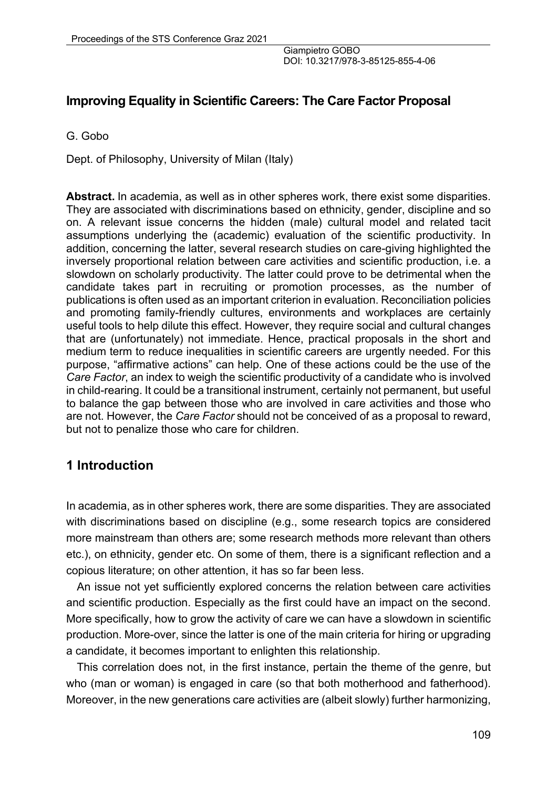## **Improving Equality in Scientific Careers: The Care Factor Proposal**

G. Gobo

Dept. of Philosophy, University of Milan (Italy)

**Abstract.** In academia, as well as in other spheres work, there exist some disparities. They are associated with discriminations based on ethnicity, gender, discipline and so on. A relevant issue concerns the hidden (male) cultural model and related tacit assumptions underlying the (academic) evaluation of the scientific productivity. In addition, concerning the latter, several research studies on care-giving highlighted the inversely proportional relation between care activities and scientific production, i.e. a slowdown on scholarly productivity. The latter could prove to be detrimental when the candidate takes part in recruiting or promotion processes, as the number of publications is often used as an important criterion in evaluation. Reconciliation policies and promoting family-friendly cultures, environments and workplaces are certainly useful tools to help dilute this effect. However, they require social and cultural changes that are (unfortunately) not immediate. Hence, practical proposals in the short and medium term to reduce inequalities in scientific careers are urgently needed. For this purpose, "affirmative actions" can help. One of these actions could be the use of the *Care Factor*, an index to weigh the scientific productivity of a candidate who is involved in child-rearing. It could be a transitional instrument, certainly not permanent, but useful to balance the gap between those who are involved in care activities and those who are not. However, the *Care Factor* should not be conceived of as a proposal to reward, but not to penalize those who care for children.

# **1 Introduction**

In academia, as in other spheres work, there are some disparities. They are associated with discriminations based on discipline (e.g., some research topics are considered more mainstream than others are; some research methods more relevant than others etc.), on ethnicity, gender etc. On some of them, there is a significant reflection and a copious literature; on other attention, it has so far been less.

An issue not yet sufficiently explored concerns the relation between care activities and scientific production. Especially as the first could have an impact on the second. More specifically, how to grow the activity of care we can have a slowdown in scientific production. More-over, since the latter is one of the main criteria for hiring or upgrading a candidate, it becomes important to enlighten this relationship.

This correlation does not, in the first instance, pertain the theme of the genre, but who (man or woman) is engaged in care (so that both motherhood and fatherhood). Moreover, in the new generations care activities are (albeit slowly) further harmonizing,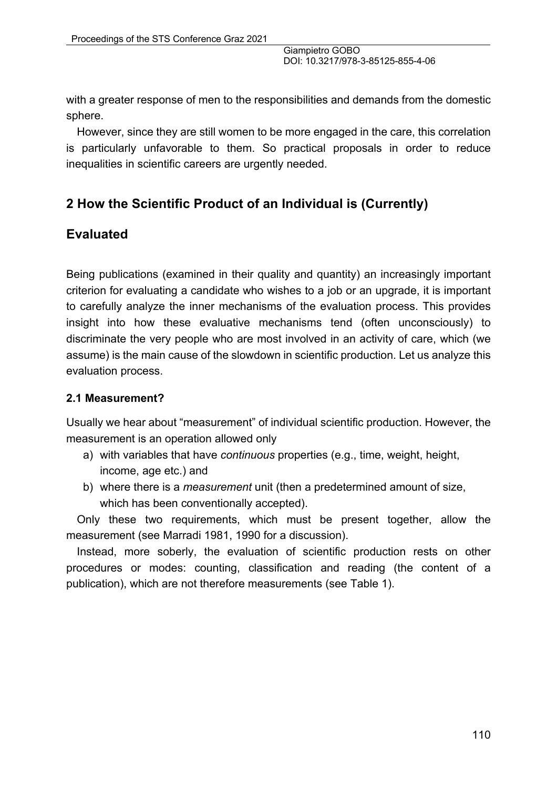with a greater response of men to the responsibilities and demands from the domestic sphere.

However, since they are still women to be more engaged in the care, this correlation is particularly unfavorable to them. So practical proposals in order to reduce inequalities in scientific careers are urgently needed.

# **2 How the Scientific Product of an Individual is (Currently)**

## **Evaluated**

Being publications (examined in their quality and quantity) an increasingly important criterion for evaluating a candidate who wishes to a job or an upgrade, it is important to carefully analyze the inner mechanisms of the evaluation process. This provides insight into how these evaluative mechanisms tend (often unconsciously) to discriminate the very people who are most involved in an activity of care, which (we assume) is the main cause of the slowdown in scientific production. Let us analyze this evaluation process.

#### **2.1 Measurement?**

Usually we hear about "measurement" of individual scientific production. However, the measurement is an operation allowed only

- a) with variables that have *continuous* properties (e.g., time, weight, height, income, age etc.) and
- b) where there is a *measurement* unit (then a predetermined amount of size, which has been conventionally accepted).

Only these two requirements, which must be present together, allow the measurement (see Marradi 1981, 1990 for a discussion).

Instead, more soberly, the evaluation of scientific production rests on other procedures or modes: counting, classification and reading (the content of a publication), which are not therefore measurements (see Table 1).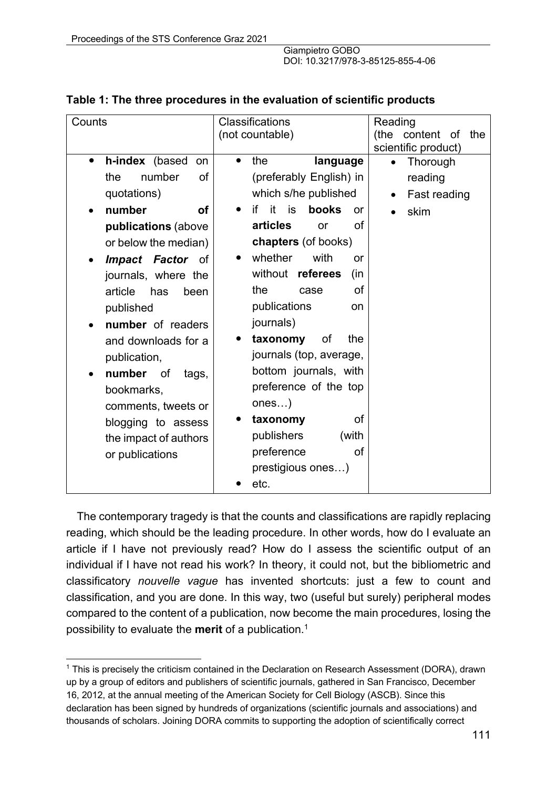| Counts                                   | Classifications                      | Reading                       |
|------------------------------------------|--------------------------------------|-------------------------------|
|                                          | (not countable)                      | (the<br>content<br>_of<br>the |
|                                          |                                      | scientific product)           |
| h-index (based<br>$\bullet$<br><b>on</b> | the<br>language                      | Thorough<br>$\bullet$         |
| number<br><b>of</b><br>the               | (preferably English) in              | reading                       |
| quotations)                              | which s/he published                 | Fast reading                  |
| number<br><b>of</b>                      | it<br>if<br>is<br>books<br><b>or</b> | skim                          |
| publications (above                      | articles<br>of<br>or                 |                               |
| or below the median)                     | chapters (of books)                  |                               |
| <b>Impact Factor</b><br>of               | whether<br>with<br>or                |                               |
| journals, where the                      | without referees<br>(in              |                               |
| article<br>has<br>been                   | the<br><b>of</b><br>case             |                               |
| published                                | publications<br>on                   |                               |
| number of readers                        | journals)                            |                               |
|                                          | the<br>taxonomy<br>οf                |                               |
| and downloads for a                      |                                      |                               |
| publication,                             | journals (top, average,              |                               |
| number of<br>tags,                       | bottom journals, with                |                               |
| bookmarks,                               | preference of the top                |                               |
| comments, tweets or                      | ones)                                |                               |
| blogging to assess                       | <b>of</b><br>taxonomy                |                               |
| the impact of authors                    | publishers<br>(with                  |                               |
| or publications                          | preference<br>0f                     |                               |
|                                          | prestigious ones)                    |                               |
|                                          | etc.                                 |                               |
|                                          |                                      |                               |

#### **Table 1: The three procedures in the evaluation of scientific products**

The contemporary tragedy is that the counts and classifications are rapidly replacing reading, which should be the leading procedure. In other words, how do I evaluate an article if I have not previously read? How do I assess the scientific output of an individual if I have not read his work? In theory, it could not, but the bibliometric and classificatory *nouvelle vague* has invented shortcuts: just a few to count and classification, and you are done. In this way, two (useful but surely) peripheral modes compared to the content of a publication, now become the main procedures, losing the possibility to evaluate the **merit** of a publication. 1

<sup>&</sup>lt;sup>1</sup> This is precisely the criticism contained in the Declaration on Research Assessment (DORA), drawn up by a group of editors and publishers of scientific journals, gathered in San Francisco, December 16, 2012, at the annual meeting of the American Society for Cell Biology (ASCB). Since this declaration has been signed by hundreds of organizations (scientific journals and associations) and thousands of scholars. Joining DORA commits to supporting the adoption of scientifically correct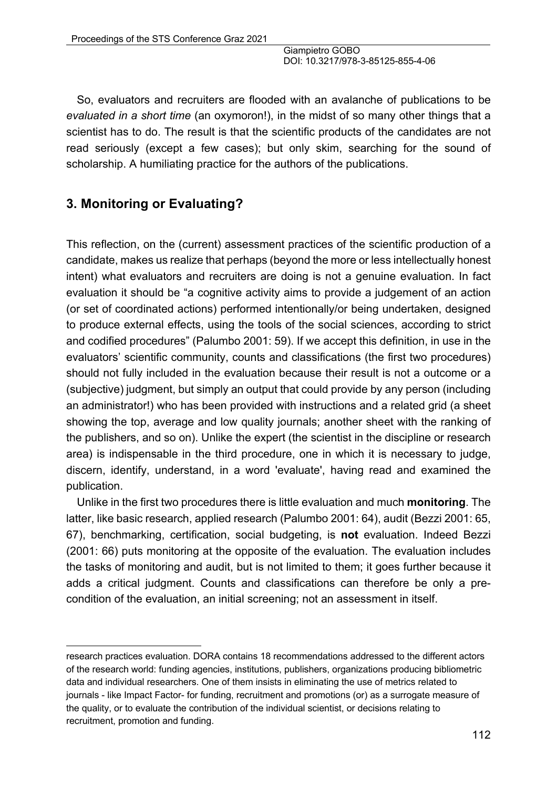So, evaluators and recruiters are flooded with an avalanche of publications to be *evaluated in a short time* (an oxymoron!), in the midst of so many other things that a scientist has to do. The result is that the scientific products of the candidates are not read seriously (except a few cases); but only skim, searching for the sound of scholarship. A humiliating practice for the authors of the publications.

# **3. Monitoring or Evaluating?**

This reflection, on the (current) assessment practices of the scientific production of a candidate, makes us realize that perhaps (beyond the more or less intellectually honest intent) what evaluators and recruiters are doing is not a genuine evaluation. In fact evaluation it should be "a cognitive activity aims to provide a judgement of an action (or set of coordinated actions) performed intentionally/or being undertaken, designed to produce external effects, using the tools of the social sciences, according to strict and codified procedures" (Palumbo 2001: 59). If we accept this definition, in use in the evaluators' scientific community, counts and classifications (the first two procedures) should not fully included in the evaluation because their result is not a outcome or a (subjective) judgment, but simply an output that could provide by any person (including an administrator!) who has been provided with instructions and a related grid (a sheet showing the top, average and low quality journals; another sheet with the ranking of the publishers, and so on). Unlike the expert (the scientist in the discipline or research area) is indispensable in the third procedure, one in which it is necessary to judge, discern, identify, understand, in a word 'evaluate', having read and examined the publication.

Unlike in the first two procedures there is little evaluation and much **monitoring**. The latter, like basic research, applied research (Palumbo 2001: 64), audit (Bezzi 2001: 65, 67), benchmarking, certification, social budgeting, is **not** evaluation. Indeed Bezzi (2001: 66) puts monitoring at the opposite of the evaluation. The evaluation includes the tasks of monitoring and audit, but is not limited to them; it goes further because it adds a critical judgment. Counts and classifications can therefore be only a precondition of the evaluation, an initial screening; not an assessment in itself.

research practices evaluation. DORA contains 18 recommendations addressed to the different actors of the research world: funding agencies, institutions, publishers, organizations producing bibliometric data and individual researchers. One of them insists in eliminating the use of metrics related to journals - like Impact Factor- for funding, recruitment and promotions (or) as a surrogate measure of the quality, or to evaluate the contribution of the individual scientist, or decisions relating to recruitment, promotion and funding.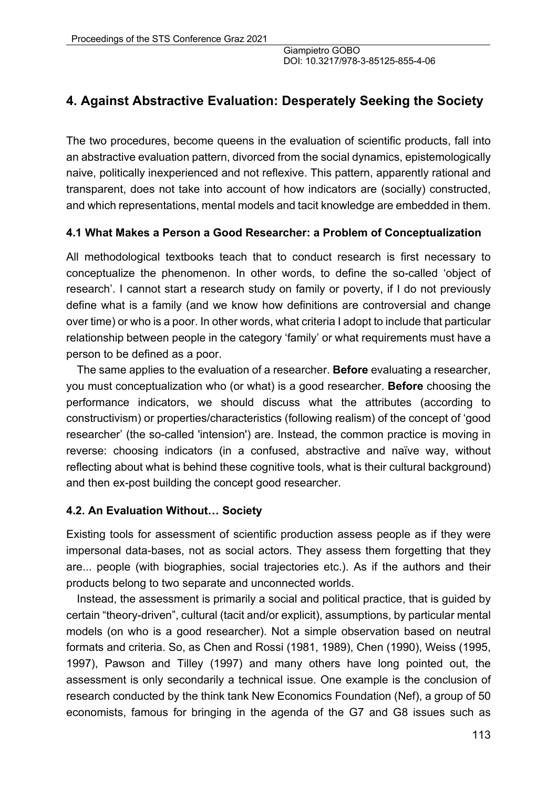# **4. Against Abstractive Evaluation: Desperately Seeking the Society**

The two procedures, become queens in the evaluation of scientific products, fall into an abstractive evaluation pattern, divorced from the social dynamics, epistemologically naive, politically inexperienced and not reflexive. This pattern, apparently rational and transparent, does not take into account of how indicators are (socially) constructed, and which representations, mental models and tacit knowledge are embedded in them.

#### **4.1 What Makes a Person a Good Researcher: a Problem of Conceptualization**

All methodological textbooks teach that to conduct research is first necessary to conceptualize the phenomenon. In other words, to define the so-called 'object of research'. I cannot start a research study on family or poverty, if I do not previously define what is a family (and we know how definitions are controversial and change over time) or who is a poor. In other words, what criteria I adopt to include that particular relationship between people in the category 'family' or what requirements must have a person to be defined as a poor.

The same applies to the evaluation of a researcher. **Before** evaluating a researcher, you must conceptualization who (or what) is a good researcher. **Before** choosing the performance indicators, we should discuss what the attributes (according to constructivism) or properties/characteristics (following realism) of the concept of 'good researcher' (the so-called 'intension') are. Instead, the common practice is moving in reverse: choosing indicators (in a confused, abstractive and naïve way, without reflecting about what is behind these cognitive tools, what is their cultural background) and then ex-post building the concept good researcher.

#### **4.2. An Evaluation Without… Society**

Existing tools for assessment of scientific production assess people as if they were impersonal data-bases, not as social actors. They assess them forgetting that they are... people (with biographies, social trajectories etc.). As if the authors and their products belong to two separate and unconnected worlds.

Instead, the assessment is primarily a social and political practice, that is guided by certain "theory-driven", cultural (tacit and/or explicit), assumptions, by particular mental models (on who is a good researcher). Not a simple observation based on neutral formats and criteria. So, as Chen and Rossi (1981, 1989), Chen (1990), Weiss (1995, 1997), Pawson and Tilley (1997) and many others have long pointed out, the assessment is only secondarily a technical issue. One example is the conclusion of research conducted by the think tank New Economics Foundation (Nef), a group of 50 economists, famous for bringing in the agenda of the G7 and G8 issues such as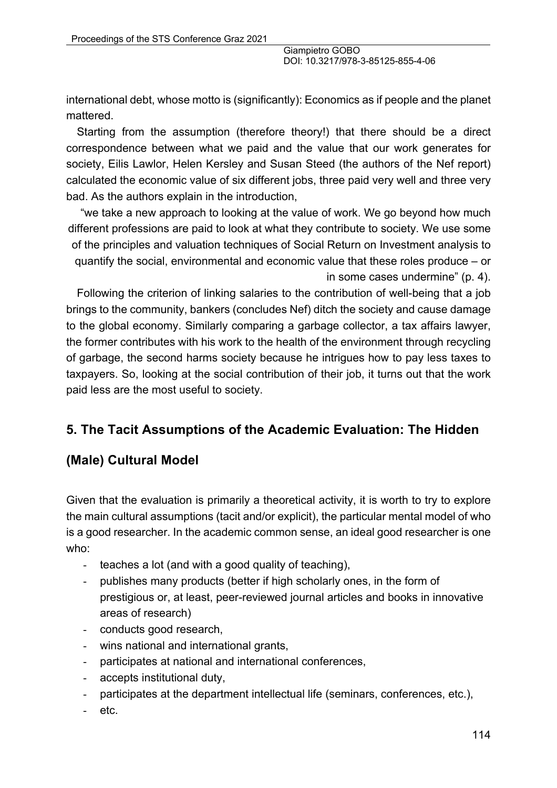international debt, whose motto is (significantly): Economics as if people and the planet mattered.

Starting from the assumption (therefore theory!) that there should be a direct correspondence between what we paid and the value that our work generates for society, Eilis Lawlor, Helen Kersley and Susan Steed (the authors of the Nef report) calculated the economic value of six different jobs, three paid very well and three very bad. As the authors explain in the introduction,

"we take a new approach to looking at the value of work. We go beyond how much different professions are paid to look at what they contribute to society. We use some of the principles and valuation techniques of Social Return on Investment analysis to quantify the social, environmental and economic value that these roles produce – or in some cases undermine" (p. 4).

Following the criterion of linking salaries to the contribution of well-being that a job brings to the community, bankers (concludes Nef) ditch the society and cause damage to the global economy. Similarly comparing a garbage collector, a tax affairs lawyer, the former contributes with his work to the health of the environment through recycling of garbage, the second harms society because he intrigues how to pay less taxes to taxpayers. So, looking at the social contribution of their job, it turns out that the work paid less are the most useful to society.

# **5. The Tacit Assumptions of the Academic Evaluation: The Hidden**

# **(Male) Cultural Model**

Given that the evaluation is primarily a theoretical activity, it is worth to try to explore the main cultural assumptions (tacit and/or explicit), the particular mental model of who is a good researcher. In the academic common sense, an ideal good researcher is one who:

- teaches a lot (and with a good quality of teaching),
- publishes many products (better if high scholarly ones, in the form of prestigious or, at least, peer-reviewed journal articles and books in innovative areas of research)
- conducts good research,
- wins national and international grants,
- participates at national and international conferences,
- accepts institutional duty,
- participates at the department intellectual life (seminars, conferences, etc.),
- etc.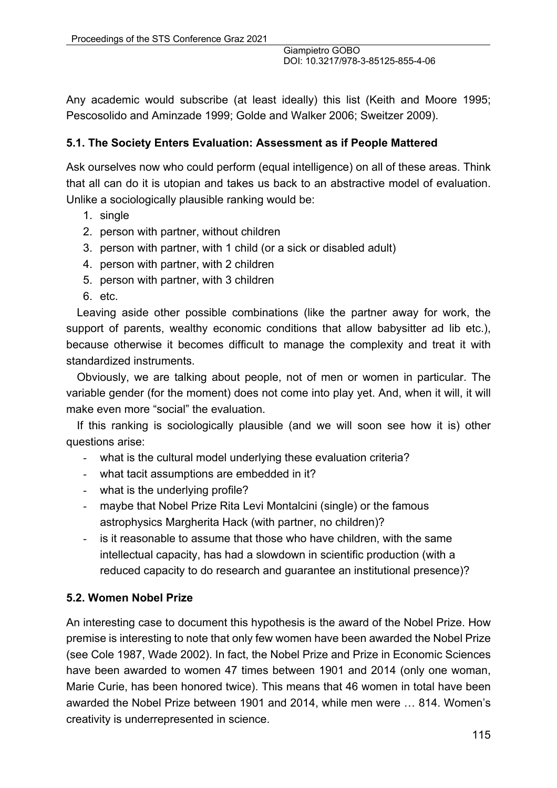Any academic would subscribe (at least ideally) this list (Keith and Moore 1995; Pescosolido and Aminzade 1999; Golde and Walker 2006; Sweitzer 2009).

#### **5.1. The Society Enters Evaluation: Assessment as if People Mattered**

Ask ourselves now who could perform (equal intelligence) on all of these areas. Think that all can do it is utopian and takes us back to an abstractive model of evaluation. Unlike a sociologically plausible ranking would be:

- 1. single
- 2. person with partner, without children
- 3. person with partner, with 1 child (or a sick or disabled adult)
- 4. person with partner, with 2 children
- 5. person with partner, with 3 children
- 6. etc.

Leaving aside other possible combinations (like the partner away for work, the support of parents, wealthy economic conditions that allow babysitter ad lib etc.), because otherwise it becomes difficult to manage the complexity and treat it with standardized instruments.

Obviously, we are talking about people, not of men or women in particular. The variable gender (for the moment) does not come into play yet. And, when it will, it will make even more "social" the evaluation.

If this ranking is sociologically plausible (and we will soon see how it is) other questions arise:

- what is the cultural model underlying these evaluation criteria?
- what tacit assumptions are embedded in it?
- what is the underlying profile?
- maybe that Nobel Prize Rita Levi Montalcini (single) or the famous astrophysics Margherita Hack (with partner, no children)?
- is it reasonable to assume that those who have children, with the same intellectual capacity, has had a slowdown in scientific production (with a reduced capacity to do research and guarantee an institutional presence)?

### **5.2. Women Nobel Prize**

An interesting case to document this hypothesis is the award of the Nobel Prize. How premise is interesting to note that only few women have been awarded the Nobel Prize (see Cole 1987, Wade 2002). In fact, the Nobel Prize and Prize in Economic Sciences have been awarded to women 47 times between 1901 and 2014 (only one woman, Marie Curie, has been honored twice). This means that 46 women in total have been awarded the Nobel Prize between 1901 and 2014, while men were … 814. Women's creativity is underrepresented in science.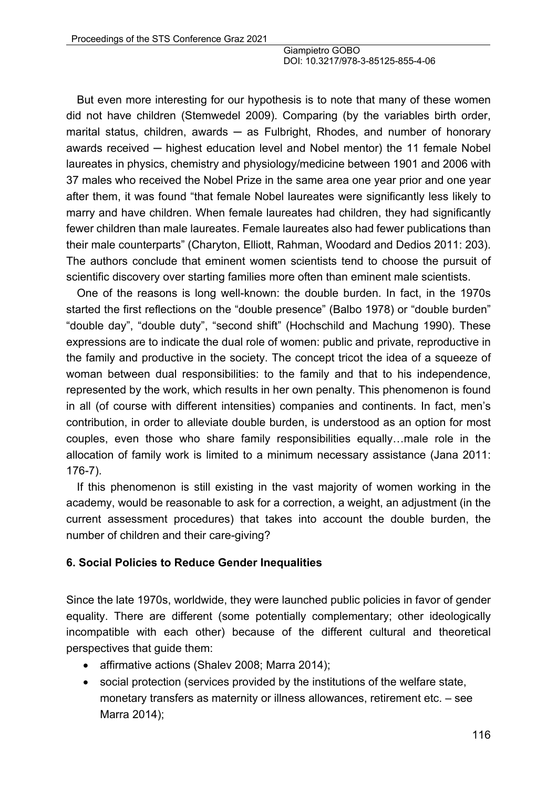But even more interesting for our hypothesis is to note that many of these women did not have children (Stemwedel 2009). Comparing (by the variables birth order, marital status, children, awards  $-$  as Fulbright, Rhodes, and number of honorary awards received — highest education level and Nobel mentor) the 11 female Nobel laureates in physics, chemistry and physiology/medicine between 1901 and 2006 with 37 males who received the Nobel Prize in the same area one year prior and one year after them, it was found "that female Nobel laureates were significantly less likely to marry and have children. When female laureates had children, they had significantly fewer children than male laureates. Female laureates also had fewer publications than their male counterparts" (Charyton, Elliott, Rahman, Woodard and Dedios 2011: 203). The authors conclude that eminent women scientists tend to choose the pursuit of scientific discovery over starting families more often than eminent male scientists.

One of the reasons is long well-known: the double burden. In fact, in the 1970s started the first reflections on the "double presence" (Balbo 1978) or "double burden" "double day", "double duty", "second shift" (Hochschild and Machung 1990). These expressions are to indicate the dual role of women: public and private, reproductive in the family and productive in the society. The concept tricot the idea of a squeeze of woman between dual responsibilities: to the family and that to his independence, represented by the work, which results in her own penalty. This phenomenon is found in all (of course with different intensities) companies and continents. In fact, men's contribution, in order to alleviate double burden, is understood as an option for most couples, even those who share family responsibilities equally…male role in the allocation of family work is limited to a minimum necessary assistance (Jana 2011: 176-7).

If this phenomenon is still existing in the vast majority of women working in the academy, would be reasonable to ask for a correction, a weight, an adjustment (in the current assessment procedures) that takes into account the double burden, the number of children and their care-giving?

#### **6. Social Policies to Reduce Gender Inequalities**

Since the late 1970s, worldwide, they were launched public policies in favor of gender equality. There are different (some potentially complementary; other ideologically incompatible with each other) because of the different cultural and theoretical perspectives that guide them:

- affirmative actions (Shalev 2008; Marra 2014);
- social protection (services provided by the institutions of the welfare state, monetary transfers as maternity or illness allowances, retirement etc. – see Marra 2014);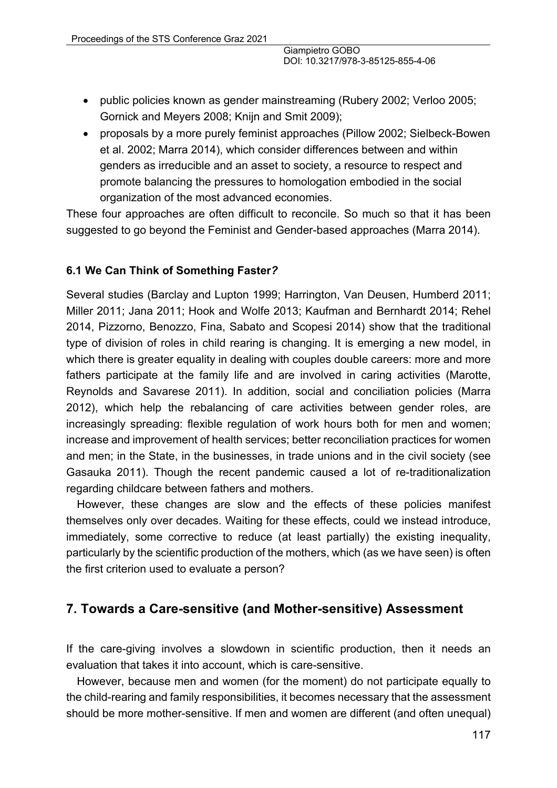- public policies known as gender mainstreaming (Rubery 2002; Verloo 2005; Gornick and Meyers 2008; Knijn and Smit 2009);
- proposals by a more purely feminist approaches (Pillow 2002; Sielbeck-Bowen et al. 2002; Marra 2014), which consider differences between and within genders as irreducible and an asset to society, a resource to respect and promote balancing the pressures to homologation embodied in the social organization of the most advanced economies.

These four approaches are often difficult to reconcile. So much so that it has been suggested to go beyond the Feminist and Gender-based approaches (Marra 2014).

#### **6.1 We Can Think of Something Faster***?*

Several studies (Barclay and Lupton 1999; Harrington, Van Deusen, Humberd 2011; Miller 2011; Jana 2011; Hook and Wolfe 2013; Kaufman and Bernhardt 2014; Rehel 2014, Pizzorno, Benozzo, Fina, Sabato and Scopesi 2014) show that the traditional type of division of roles in child rearing is changing. It is emerging a new model, in which there is greater equality in dealing with couples double careers: more and more fathers participate at the family life and are involved in caring activities (Marotte, Reynolds and Savarese 2011). In addition, social and conciliation policies (Marra 2012), which help the rebalancing of care activities between gender roles, are increasingly spreading: flexible regulation of work hours both for men and women; increase and improvement of health services; better reconciliation practices for women and men; in the State, in the businesses, in trade unions and in the civil society (see Gasauka 2011). Though the recent pandemic caused a lot of re-traditionalization regarding childcare between fathers and mothers.

However, these changes are slow and the effects of these policies manifest themselves only over decades. Waiting for these effects, could we instead introduce, immediately, some corrective to reduce (at least partially) the existing inequality, particularly by the scientific production of the mothers, which (as we have seen) is often the first criterion used to evaluate a person?

# **7. Towards a Care-sensitive (and Mother-sensitive) Assessment**

If the care-giving involves a slowdown in scientific production, then it needs an evaluation that takes it into account, which is care-sensitive.

However, because men and women (for the moment) do not participate equally to the child-rearing and family responsibilities, it becomes necessary that the assessment should be more mother-sensitive. If men and women are different (and often unequal)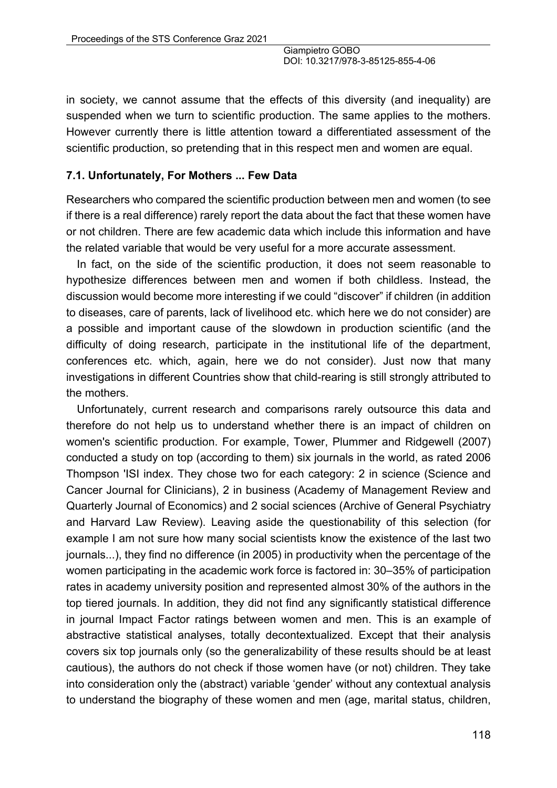in society, we cannot assume that the effects of this diversity (and inequality) are suspended when we turn to scientific production. The same applies to the mothers. However currently there is little attention toward a differentiated assessment of the scientific production, so pretending that in this respect men and women are equal.

#### **7.1. Unfortunately, For Mothers ... Few Data**

Researchers who compared the scientific production between men and women (to see if there is a real difference) rarely report the data about the fact that these women have or not children. There are few academic data which include this information and have the related variable that would be very useful for a more accurate assessment.

In fact, on the side of the scientific production, it does not seem reasonable to hypothesize differences between men and women if both childless. Instead, the discussion would become more interesting if we could "discover" if children (in addition to diseases, care of parents, lack of livelihood etc. which here we do not consider) are a possible and important cause of the slowdown in production scientific (and the difficulty of doing research, participate in the institutional life of the department, conferences etc. which, again, here we do not consider). Just now that many investigations in different Countries show that child-rearing is still strongly attributed to the mothers.

Unfortunately, current research and comparisons rarely outsource this data and therefore do not help us to understand whether there is an impact of children on women's scientific production. For example, Tower, Plummer and Ridgewell (2007) conducted a study on top (according to them) six journals in the world, as rated 2006 Thompson 'ISI index. They chose two for each category: 2 in science (Science and Cancer Journal for Clinicians), 2 in business (Academy of Management Review and Quarterly Journal of Economics) and 2 social sciences (Archive of General Psychiatry and Harvard Law Review). Leaving aside the questionability of this selection (for example I am not sure how many social scientists know the existence of the last two journals...), they find no difference (in 2005) in productivity when the percentage of the women participating in the academic work force is factored in: 30–35% of participation rates in academy university position and represented almost 30% of the authors in the top tiered journals. In addition, they did not find any significantly statistical difference in journal Impact Factor ratings between women and men. This is an example of abstractive statistical analyses, totally decontextualized. Except that their analysis covers six top journals only (so the generalizability of these results should be at least cautious), the authors do not check if those women have (or not) children. They take into consideration only the (abstract) variable 'gender' without any contextual analysis to understand the biography of these women and men (age, marital status, children,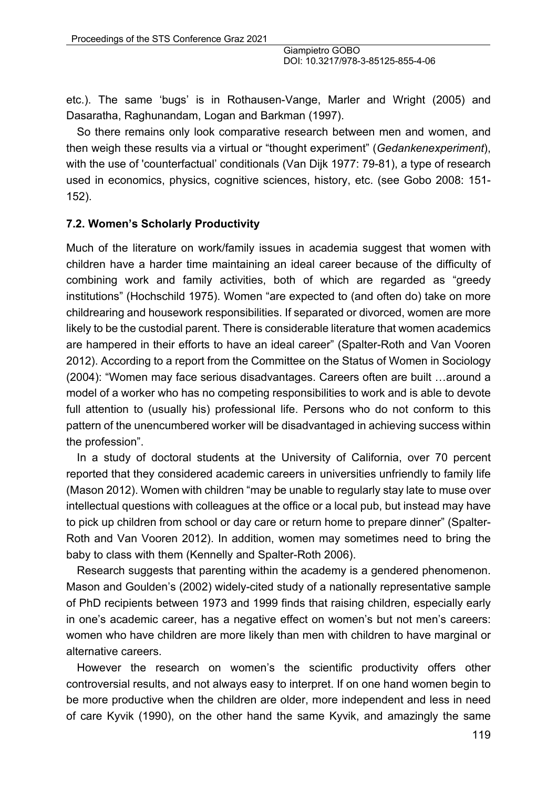etc.). The same 'bugs' is in Rothausen-Vange, Marler and Wright (2005) and Dasaratha, Raghunandam, Logan and Barkman (1997).

So there remains only look comparative research between men and women, and then weigh these results via a virtual or "thought experiment" (*Gedankenexperiment*), with the use of 'counterfactual' conditionals (Van Dijk 1977: 79-81), a type of research used in economics, physics, cognitive sciences, history, etc. (see Gobo 2008: 151- 152).

#### **7.2. Women's Scholarly Productivity**

Much of the literature on work/family issues in academia suggest that women with children have a harder time maintaining an ideal career because of the difficulty of combining work and family activities, both of which are regarded as "greedy institutions" (Hochschild 1975). Women "are expected to (and often do) take on more childrearing and housework responsibilities. If separated or divorced, women are more likely to be the custodial parent. There is considerable literature that women academics are hampered in their efforts to have an ideal career" (Spalter-Roth and Van Vooren 2012). According to a report from the Committee on the Status of Women in Sociology (2004): "Women may face serious disadvantages. Careers often are built …around a model of a worker who has no competing responsibilities to work and is able to devote full attention to (usually his) professional life. Persons who do not conform to this pattern of the unencumbered worker will be disadvantaged in achieving success within the profession".

In a study of doctoral students at the University of California, over 70 percent reported that they considered academic careers in universities unfriendly to family life (Mason 2012). Women with children "may be unable to regularly stay late to muse over intellectual questions with colleagues at the office or a local pub, but instead may have to pick up children from school or day care or return home to prepare dinner" (Spalter-Roth and Van Vooren 2012). In addition, women may sometimes need to bring the baby to class with them (Kennelly and Spalter-Roth 2006).

Research suggests that parenting within the academy is a gendered phenomenon. Mason and Goulden's (2002) widely-cited study of a nationally representative sample of PhD recipients between 1973 and 1999 finds that raising children, especially early in one's academic career, has a negative effect on women's but not men's careers: women who have children are more likely than men with children to have marginal or alternative careers.

However the research on women's the scientific productivity offers other controversial results, and not always easy to interpret. If on one hand women begin to be more productive when the children are older, more independent and less in need of care Kyvik (1990), on the other hand the same Kyvik, and amazingly the same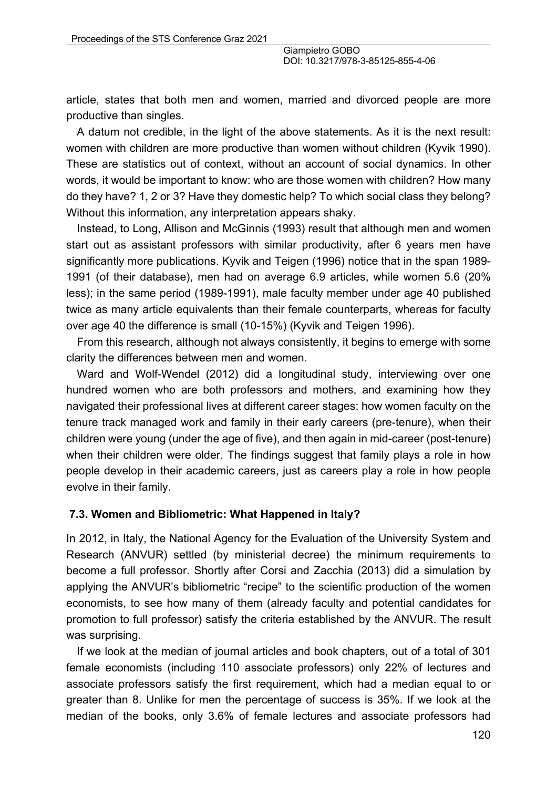article, states that both men and women, married and divorced people are more productive than singles.

A datum not credible, in the light of the above statements. As it is the next result: women with children are more productive than women without children (Kyvik 1990). These are statistics out of context, without an account of social dynamics. In other words, it would be important to know: who are those women with children? How many do they have? 1, 2 or 3? Have they domestic help? To which social class they belong? Without this information, any interpretation appears shaky.

Instead, to Long, Allison and McGinnis (1993) result that although men and women start out as assistant professors with similar productivity, after 6 years men have significantly more publications. Kyvik and Teigen (1996) notice that in the span 1989- 1991 (of their database), men had on average 6.9 articles, while women 5.6 (20% less); in the same period (1989-1991), male faculty member under age 40 published twice as many article equivalents than their female counterparts, whereas for faculty over age 40 the difference is small (10-15%) (Kyvik and Teigen 1996).

From this research, although not always consistently, it begins to emerge with some clarity the differences between men and women.

Ward and Wolf-Wendel (2012) did a longitudinal study, interviewing over one hundred women who are both professors and mothers, and examining how they navigated their professional lives at different career stages: how women faculty on the tenure track managed work and family in their early careers (pre-tenure), when their children were young (under the age of five), and then again in mid-career (post-tenure) when their children were older. The findings suggest that family plays a role in how people develop in their academic careers, just as careers play a role in how people evolve in their family.

#### **7.3. Women and Bibliometric: What Happened in Italy?**

In 2012, in Italy, the National Agency for the Evaluation of the University System and Research (ANVUR) settled (by ministerial decree) the minimum requirements to become a full professor. Shortly after Corsi and Zacchia (2013) did a simulation by applying the ANVUR's bibliometric "recipe" to the scientific production of the women economists, to see how many of them (already faculty and potential candidates for promotion to full professor) satisfy the criteria established by the ANVUR. The result was surprising.

If we look at the median of journal articles and book chapters, out of a total of 301 female economists (including 110 associate professors) only 22% of lectures and associate professors satisfy the first requirement, which had a median equal to or greater than 8. Unlike for men the percentage of success is 35%. If we look at the median of the books, only 3.6% of female lectures and associate professors had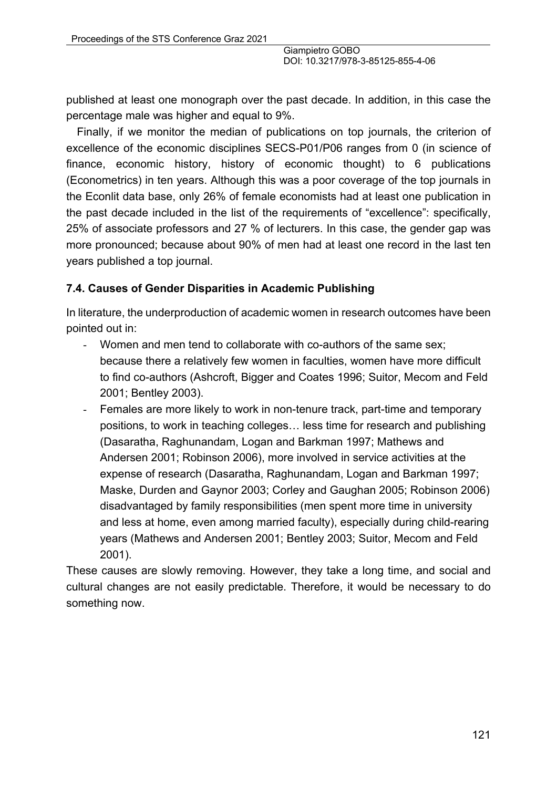published at least one monograph over the past decade. In addition, in this case the percentage male was higher and equal to 9%.

Finally, if we monitor the median of publications on top journals, the criterion of excellence of the economic disciplines SECS-P01/P06 ranges from 0 (in science of finance, economic history, history of economic thought) to 6 publications (Econometrics) in ten years. Although this was a poor coverage of the top journals in the Econlit data base, only 26% of female economists had at least one publication in the past decade included in the list of the requirements of "excellence": specifically, 25% of associate professors and 27 % of lecturers. In this case, the gender gap was more pronounced; because about 90% of men had at least one record in the last ten years published a top journal.

#### **7.4. Causes of Gender Disparities in Academic Publishing**

In literature, the underproduction of academic women in research outcomes have been pointed out in:

- Women and men tend to collaborate with co-authors of the same sex; because there a relatively few women in faculties, women have more difficult to find co-authors (Ashcroft, Bigger and Coates 1996; Suitor, Mecom and Feld 2001; Bentley 2003).
- Females are more likely to work in non-tenure track, part-time and temporary positions, to work in teaching colleges… less time for research and publishing (Dasaratha, Raghunandam, Logan and Barkman 1997; Mathews and Andersen 2001; Robinson 2006), more involved in service activities at the expense of research (Dasaratha, Raghunandam, Logan and Barkman 1997; Maske, Durden and Gaynor 2003; Corley and Gaughan 2005; Robinson 2006) disadvantaged by family responsibilities (men spent more time in university and less at home, even among married faculty), especially during child-rearing years (Mathews and Andersen 2001; Bentley 2003; Suitor, Mecom and Feld 2001).

These causes are slowly removing. However, they take a long time, and social and cultural changes are not easily predictable. Therefore, it would be necessary to do something now.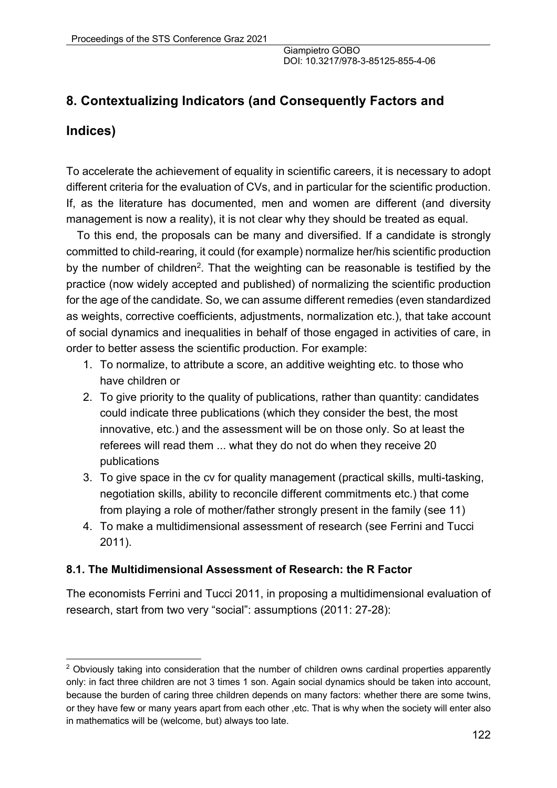# **8. Contextualizing Indicators (and Consequently Factors and**

# **Indices)**

To accelerate the achievement of equality in scientific careers, it is necessary to adopt different criteria for the evaluation of CVs, and in particular for the scientific production. If, as the literature has documented, men and women are different (and diversity management is now a reality), it is not clear why they should be treated as equal.

To this end, the proposals can be many and diversified. If a candidate is strongly committed to child-rearing, it could (for example) normalize her/his scientific production by the number of children<sup>2</sup>. That the weighting can be reasonable is testified by the practice (now widely accepted and published) of normalizing the scientific production for the age of the candidate. So, we can assume different remedies (even standardized as weights, corrective coefficients, adjustments, normalization etc.), that take account of social dynamics and inequalities in behalf of those engaged in activities of care, in order to better assess the scientific production. For example:

- 1. To normalize, to attribute a score, an additive weighting etc. to those who have children or
- 2. To give priority to the quality of publications, rather than quantity: candidates could indicate three publications (which they consider the best, the most innovative, etc.) and the assessment will be on those only. So at least the referees will read them ... what they do not do when they receive 20 publications
- 3. To give space in the cv for quality management (practical skills, multi-tasking, negotiation skills, ability to reconcile different commitments etc.) that come from playing a role of mother/father strongly present in the family (see 11)
- 4. To make a multidimensional assessment of research (see Ferrini and Tucci 2011).

#### **8.1. The Multidimensional Assessment of Research: the R Factor**

The economists Ferrini and Tucci 2011, in proposing a multidimensional evaluation of research, start from two very "social": assumptions (2011: 27-28):

<sup>&</sup>lt;sup>2</sup> Obviously taking into consideration that the number of children owns cardinal properties apparently only: in fact three children are not 3 times 1 son. Again social dynamics should be taken into account, because the burden of caring three children depends on many factors: whether there are some twins, or they have few or many years apart from each other ,etc. That is why when the society will enter also in mathematics will be (welcome, but) always too late.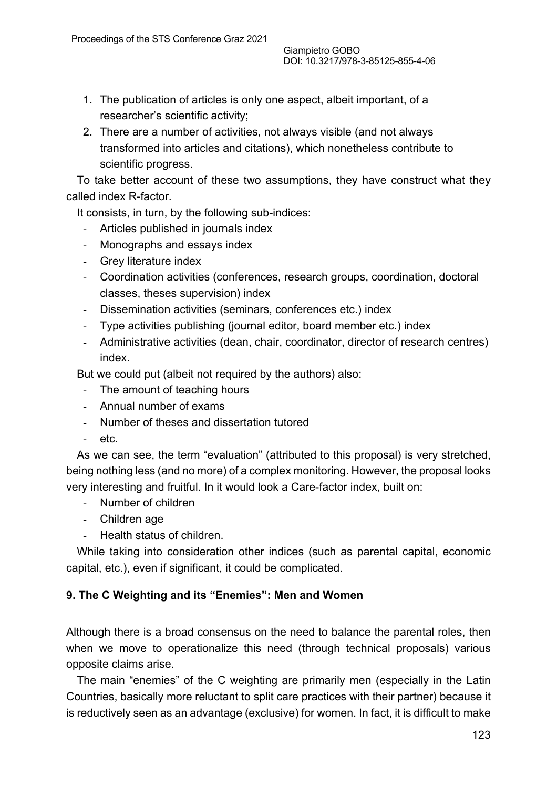- 1. The publication of articles is only one aspect, albeit important, of a researcher's scientific activity;
- 2. There are a number of activities, not always visible (and not always transformed into articles and citations), which nonetheless contribute to scientific progress.

To take better account of these two assumptions, they have construct what they called index R-factor.

It consists, in turn, by the following sub-indices:

- Articles published in journals index
- Monographs and essays index
- Grey literature index
- Coordination activities (conferences, research groups, coordination, doctoral classes, theses supervision) index
- Dissemination activities (seminars, conferences etc.) index
- Type activities publishing (journal editor, board member etc.) index
- Administrative activities (dean, chair, coordinator, director of research centres) index.

But we could put (albeit not required by the authors) also:

- The amount of teaching hours
- Annual number of exams
- Number of theses and dissertation tutored
- etc.

As we can see, the term "evaluation" (attributed to this proposal) is very stretched, being nothing less (and no more) of a complex monitoring. However, the proposal looks very interesting and fruitful. In it would look a Care-factor index, built on:

- Number of children
- Children age
- Health status of children.

While taking into consideration other indices (such as parental capital, economic capital, etc.), even if significant, it could be complicated.

#### **9. The C Weighting and its "Enemies": Men and Women**

Although there is a broad consensus on the need to balance the parental roles, then when we move to operationalize this need (through technical proposals) various opposite claims arise.

The main "enemies" of the C weighting are primarily men (especially in the Latin Countries, basically more reluctant to split care practices with their partner) because it is reductively seen as an advantage (exclusive) for women. In fact, it is difficult to make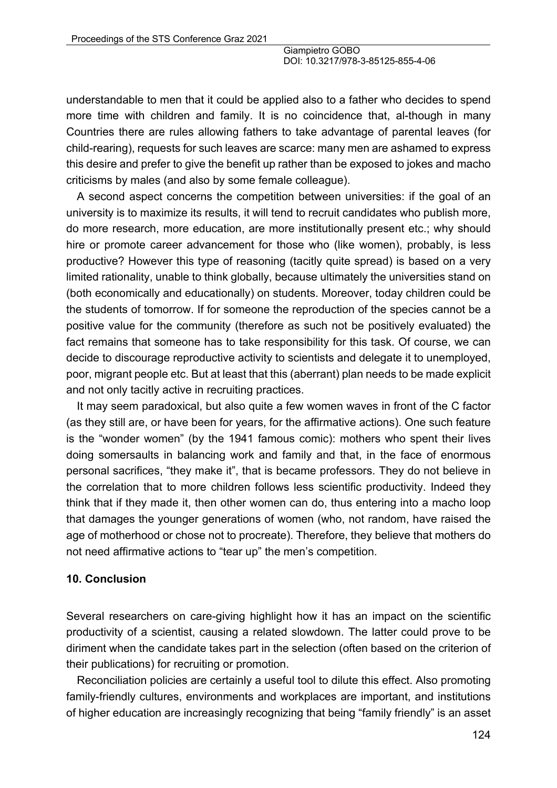understandable to men that it could be applied also to a father who decides to spend more time with children and family. It is no coincidence that, al-though in many Countries there are rules allowing fathers to take advantage of parental leaves (for child-rearing), requests for such leaves are scarce: many men are ashamed to express this desire and prefer to give the benefit up rather than be exposed to jokes and macho criticisms by males (and also by some female colleague).

A second aspect concerns the competition between universities: if the goal of an university is to maximize its results, it will tend to recruit candidates who publish more, do more research, more education, are more institutionally present etc.; why should hire or promote career advancement for those who (like women), probably, is less productive? However this type of reasoning (tacitly quite spread) is based on a very limited rationality, unable to think globally, because ultimately the universities stand on (both economically and educationally) on students. Moreover, today children could be the students of tomorrow. If for someone the reproduction of the species cannot be a positive value for the community (therefore as such not be positively evaluated) the fact remains that someone has to take responsibility for this task. Of course, we can decide to discourage reproductive activity to scientists and delegate it to unemployed, poor, migrant people etc. But at least that this (aberrant) plan needs to be made explicit and not only tacitly active in recruiting practices.

It may seem paradoxical, but also quite a few women waves in front of the C factor (as they still are, or have been for years, for the affirmative actions). One such feature is the "wonder women" (by the 1941 famous comic): mothers who spent their lives doing somersaults in balancing work and family and that, in the face of enormous personal sacrifices, "they make it", that is became professors. They do not believe in the correlation that to more children follows less scientific productivity. Indeed they think that if they made it, then other women can do, thus entering into a macho loop that damages the younger generations of women (who, not random, have raised the age of motherhood or chose not to procreate). Therefore, they believe that mothers do not need affirmative actions to "tear up" the men's competition.

#### **10. Conclusion**

Several researchers on care-giving highlight how it has an impact on the scientific productivity of a scientist, causing a related slowdown. The latter could prove to be diriment when the candidate takes part in the selection (often based on the criterion of their publications) for recruiting or promotion.

Reconciliation policies are certainly a useful tool to dilute this effect. Also promoting family-friendly cultures, environments and workplaces are important, and institutions of higher education are increasingly recognizing that being "family friendly" is an asset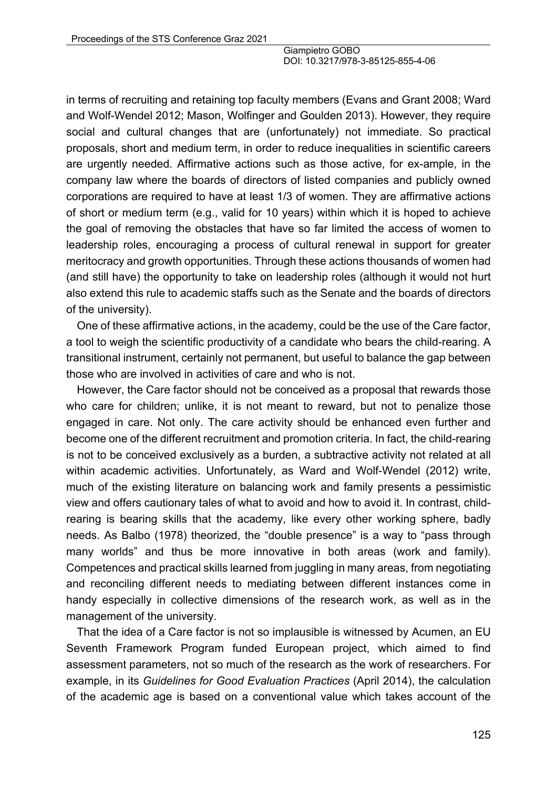in terms of recruiting and retaining top faculty members (Evans and Grant 2008; Ward and Wolf-Wendel 2012; Mason, Wolfinger and Goulden 2013). However, they require social and cultural changes that are (unfortunately) not immediate. So practical proposals, short and medium term, in order to reduce inequalities in scientific careers are urgently needed. Affirmative actions such as those active, for ex-ample, in the company law where the boards of directors of listed companies and publicly owned corporations are required to have at least 1/3 of women. They are affirmative actions of short or medium term (e.g., valid for 10 years) within which it is hoped to achieve the goal of removing the obstacles that have so far limited the access of women to leadership roles, encouraging a process of cultural renewal in support for greater meritocracy and growth opportunities. Through these actions thousands of women had (and still have) the opportunity to take on leadership roles (although it would not hurt also extend this rule to academic staffs such as the Senate and the boards of directors of the university).

One of these affirmative actions, in the academy, could be the use of the Care factor, a tool to weigh the scientific productivity of a candidate who bears the child-rearing. A transitional instrument, certainly not permanent, but useful to balance the gap between those who are involved in activities of care and who is not.

However, the Care factor should not be conceived as a proposal that rewards those who care for children; unlike, it is not meant to reward, but not to penalize those engaged in care. Not only. The care activity should be enhanced even further and become one of the different recruitment and promotion criteria. In fact, the child-rearing is not to be conceived exclusively as a burden, a subtractive activity not related at all within academic activities. Unfortunately, as Ward and Wolf-Wendel (2012) write, much of the existing literature on balancing work and family presents a pessimistic view and offers cautionary tales of what to avoid and how to avoid it. In contrast, childrearing is bearing skills that the academy, like every other working sphere, badly needs. As Balbo (1978) theorized, the "double presence" is a way to "pass through many worlds" and thus be more innovative in both areas (work and family). Competences and practical skills learned from juggling in many areas, from negotiating and reconciling different needs to mediating between different instances come in handy especially in collective dimensions of the research work, as well as in the management of the university.

That the idea of a Care factor is not so implausible is witnessed by Acumen, an EU Seventh Framework Program funded European project, which aimed to find assessment parameters, not so much of the research as the work of researchers. For example, in its *Guidelines for Good Evaluation Practices* (April 2014), the calculation of the academic age is based on a conventional value which takes account of the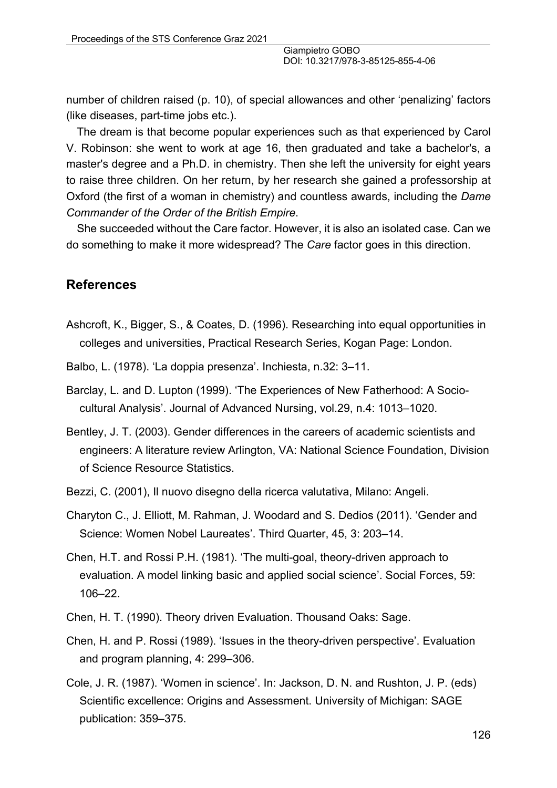number of children raised (p. 10), of special allowances and other 'penalizing' factors (like diseases, part-time jobs etc.).

The dream is that become popular experiences such as that experienced by Carol V. Robinson: she went to work at age 16, then graduated and take a bachelor's, a master's degree and a Ph.D. in chemistry. Then she left the university for eight years to raise three children. On her return, by her research she gained a professorship at Oxford (the first of a woman in chemistry) and countless awards, including the *Dame Commander of the Order of the British Empire*.

She succeeded without the Care factor. However, it is also an isolated case. Can we do something to make it more widespread? The *Care* factor goes in this direction.

#### **References**

- Ashcroft, K., Bigger, S., & Coates, D. (1996). Researching into equal opportunities in colleges and universities, Practical Research Series, Kogan Page: London.
- Balbo, L. (1978). 'La doppia presenza'. Inchiesta, n.32: 3–11.
- Barclay, L. and D. Lupton (1999). 'The Experiences of New Fatherhood: A Sociocultural Analysis'. Journal of Advanced Nursing, vol.29, n.4: 1013–1020.
- Bentley, J. T. (2003). Gender differences in the careers of academic scientists and engineers: A literature review Arlington, VA: National Science Foundation, Division of Science Resource Statistics.
- Bezzi, C. (2001), Il nuovo disegno della ricerca valutativa, Milano: Angeli.
- Charyton C., J. Elliott, M. Rahman, J. Woodard and S. Dedios (2011). 'Gender and Science: Women Nobel Laureates'. Third Quarter, 45, 3: 203–14.
- Chen, H.T. and Rossi P.H. (1981). 'The multi-goal, theory-driven approach to evaluation. A model linking basic and applied social science'. Social Forces, 59: 106–22.
- Chen, H. T. (1990). Theory driven Evaluation. Thousand Oaks: Sage.
- Chen, H. and P. Rossi (1989). 'Issues in the theory-driven perspective'. Evaluation and program planning, 4: 299–306.
- Cole, J. R. (1987). 'Women in science'. In: Jackson, D. N. and Rushton, J. P. (eds) Scientific excellence: Origins and Assessment. University of Michigan: SAGE publication: 359–375.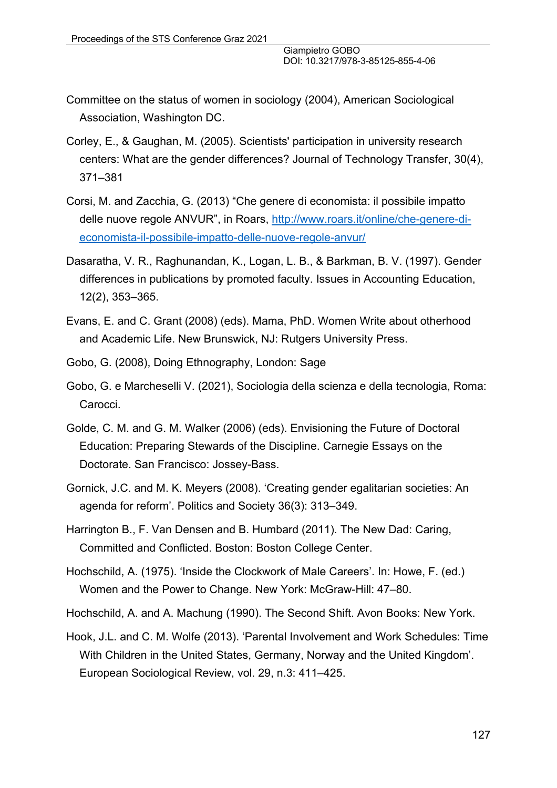- Committee on the status of women in sociology (2004), American Sociological Association, Washington DC.
- Corley, E., & Gaughan, M. (2005). Scientists' participation in university research centers: What are the gender differences? Journal of Technology Transfer, 30(4), 371–381
- Corsi, M. and Zacchia, G. (2013) "Che genere di economista: il possibile impatto delle nuove regole ANVUR", in Roars, http://www.roars.it/online/che-genere-dieconomista-il-possibile-impatto-delle-nuove-regole-anvur/
- Dasaratha, V. R., Raghunandan, K., Logan, L. B., & Barkman, B. V. (1997). Gender differences in publications by promoted faculty. Issues in Accounting Education, 12(2), 353–365.
- Evans, E. and C. Grant (2008) (eds). Mama, PhD. Women Write about otherhood and Academic Life. New Brunswick, NJ: Rutgers University Press.
- Gobo, G. (2008), Doing Ethnography, London: Sage
- Gobo, G. e Marcheselli V. (2021), Sociologia della scienza e della tecnologia, Roma: Carocci.
- Golde, C. M. and G. M. Walker (2006) (eds). Envisioning the Future of Doctoral Education: Preparing Stewards of the Discipline. Carnegie Essays on the Doctorate. San Francisco: Jossey-Bass.
- Gornick, J.C. and M. K. Meyers (2008). 'Creating gender egalitarian societies: An agenda for reform'. Politics and Society 36(3): 313–349.
- Harrington B., F. Van Densen and B. Humbard (2011). The New Dad: Caring, Committed and Conflicted. Boston: Boston College Center.
- Hochschild, A. (1975). 'Inside the Clockwork of Male Careers'. In: Howe, F. (ed.) Women and the Power to Change. New York: McGraw-Hill: 47–80.
- Hochschild, A. and A. Machung (1990). The Second Shift. Avon Books: New York.
- Hook, J.L. and C. M. Wolfe (2013). 'Parental Involvement and Work Schedules: Time With Children in the United States, Germany, Norway and the United Kingdom'. European Sociological Review, vol. 29, n.3: 411–425.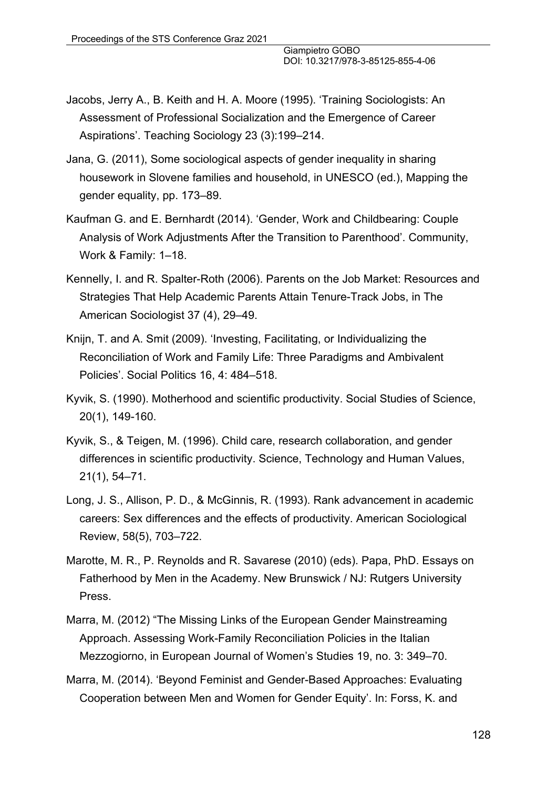- Jacobs, Jerry A., B. Keith and H. A. Moore (1995). 'Training Sociologists: An Assessment of Professional Socialization and the Emergence of Career Aspirations'. Teaching Sociology 23 (3):199–214.
- Jana, G. (2011), Some sociological aspects of gender inequality in sharing housework in Slovene families and household, in UNESCO (ed.), Mapping the gender equality, pp. 173–89.
- Kaufman G. and E. Bernhardt (2014). 'Gender, Work and Childbearing: Couple Analysis of Work Adjustments After the Transition to Parenthood'. Community, Work & Family: 1–18.
- Kennelly, I. and R. Spalter-Roth (2006). Parents on the Job Market: Resources and Strategies That Help Academic Parents Attain Tenure-Track Jobs, in The American Sociologist 37 (4), 29–49.
- Knijn, T. and A. Smit (2009). 'Investing, Facilitating, or Individualizing the Reconciliation of Work and Family Life: Three Paradigms and Ambivalent Policies'. Social Politics 16, 4: 484–518.
- Kyvik, S. (1990). Motherhood and scientific productivity. Social Studies of Science, 20(1), 149-160.
- Kyvik, S., & Teigen, M. (1996). Child care, research collaboration, and gender differences in scientific productivity. Science, Technology and Human Values, 21(1), 54–71.
- Long, J. S., Allison, P. D., & McGinnis, R. (1993). Rank advancement in academic careers: Sex differences and the effects of productivity. American Sociological Review, 58(5), 703–722.
- Marotte, M. R., P. Reynolds and R. Savarese (2010) (eds). Papa, PhD. Essays on Fatherhood by Men in the Academy. New Brunswick / NJ: Rutgers University Press.
- Marra, M. (2012) "The Missing Links of the European Gender Mainstreaming Approach. Assessing Work-Family Reconciliation Policies in the Italian Mezzogiorno, in European Journal of Women's Studies 19, no. 3: 349–70.
- Marra, M. (2014). 'Beyond Feminist and Gender-Based Approaches: Evaluating Cooperation between Men and Women for Gender Equity'. In: Forss, K. and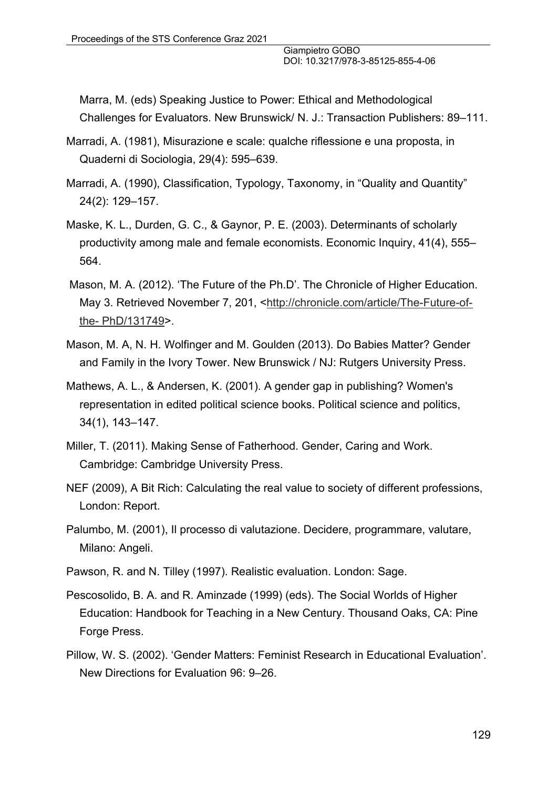Marra, M. (eds) Speaking Justice to Power: Ethical and Methodological Challenges for Evaluators. New Brunswick/ N. J.: Transaction Publishers: 89–111.

- Marradi, A. (1981), Misurazione e scale: qualche riflessione e una proposta, in Quaderni di Sociologia, 29(4): 595–639.
- Marradi, A. (1990), Classification, Typology, Taxonomy, in "Quality and Quantity" 24(2): 129–157.
- Maske, K. L., Durden, G. C., & Gaynor, P. E. (2003). Determinants of scholarly productivity among male and female economists. Economic Inquiry, 41(4), 555– 564.
- Mason, M. A. (2012). 'The Future of the Ph.D'. The Chronicle of Higher Education. May 3. Retrieved November 7, 201, <http://chronicle.com/article/The-Future-ofthe- PhD/131749>.
- Mason, M. A, N. H. Wolfinger and M. Goulden (2013). Do Babies Matter? Gender and Family in the Ivory Tower. New Brunswick / NJ: Rutgers University Press.
- Mathews, A. L., & Andersen, K. (2001). A gender gap in publishing? Women's representation in edited political science books. Political science and politics, 34(1), 143–147.
- Miller, T. (2011). Making Sense of Fatherhood. Gender, Caring and Work. Cambridge: Cambridge University Press.
- NEF (2009), A Bit Rich: Calculating the real value to society of different professions, London: Report.
- Palumbo, M. (2001), Il processo di valutazione. Decidere, programmare, valutare, Milano: Angeli.
- Pawson, R. and N. Tilley (1997). Realistic evaluation. London: Sage.
- Pescosolido, B. A. and R. Aminzade (1999) (eds). The Social Worlds of Higher Education: Handbook for Teaching in a New Century. Thousand Oaks, CA: Pine Forge Press.
- Pillow, W. S. (2002). 'Gender Matters: Feminist Research in Educational Evaluation'. New Directions for Evaluation 96: 9–26.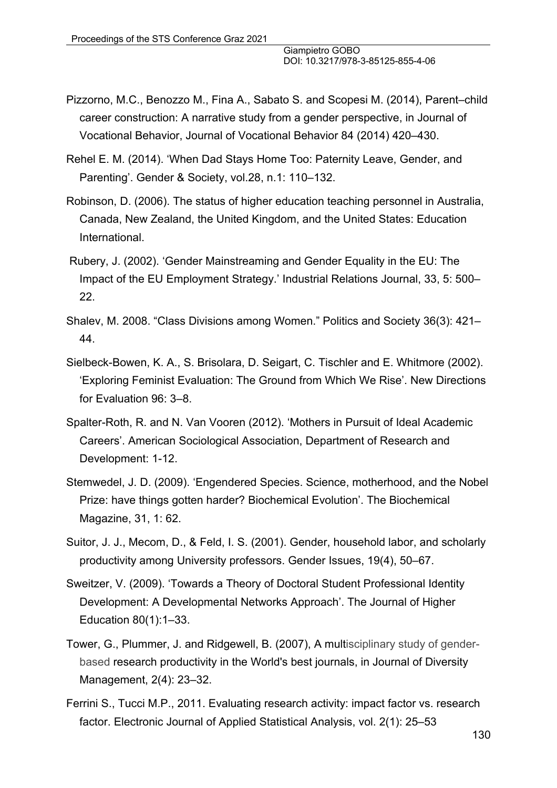- Pizzorno, M.C., Benozzo M., Fina A., Sabato S. and Scopesi M. (2014), Parent–child career construction: A narrative study from a gender perspective, in Journal of Vocational Behavior, Journal of Vocational Behavior 84 (2014) 420–430.
- Rehel E. M. (2014). 'When Dad Stays Home Too: Paternity Leave, Gender, and Parenting'. Gender & Society, vol.28, n.1: 110–132.
- Robinson, D. (2006). The status of higher education teaching personnel in Australia, Canada, New Zealand, the United Kingdom, and the United States: Education International.
- Rubery, J. (2002). 'Gender Mainstreaming and Gender Equality in the EU: The Impact of the EU Employment Strategy.' Industrial Relations Journal, 33, 5: 500– 22.
- Shalev, M. 2008. "Class Divisions among Women." Politics and Society 36(3): 421– 44.
- Sielbeck-Bowen, K. A., S. Brisolara, D. Seigart, C. Tischler and E. Whitmore (2002). 'Exploring Feminist Evaluation: The Ground from Which We Rise'. New Directions for Evaluation 96: 3–8.
- Spalter-Roth, R. and N. Van Vooren (2012). 'Mothers in Pursuit of Ideal Academic Careers'. American Sociological Association, Department of Research and Development: 1-12.
- Stemwedel, J. D. (2009). 'Engendered Species. Science, motherhood, and the Nobel Prize: have things gotten harder? Biochemical Evolution'. The Biochemical Magazine, 31, 1: 62.
- Suitor, J. J., Mecom, D., & Feld, I. S. (2001). Gender, household labor, and scholarly productivity among University professors. Gender Issues, 19(4), 50–67.
- Sweitzer, V. (2009). 'Towards a Theory of Doctoral Student Professional Identity Development: A Developmental Networks Approach'. The Journal of Higher Education 80(1):1–33.
- Tower, G., Plummer, J. and Ridgewell, B. (2007), A multisciplinary study of genderbased research productivity in the World's best journals, in Journal of Diversity Management, 2(4): 23–32.
- Ferrini S., Tucci M.P., 2011. Evaluating research activity: impact factor vs. research factor. Electronic Journal of Applied Statistical Analysis, vol. 2(1): 25–53